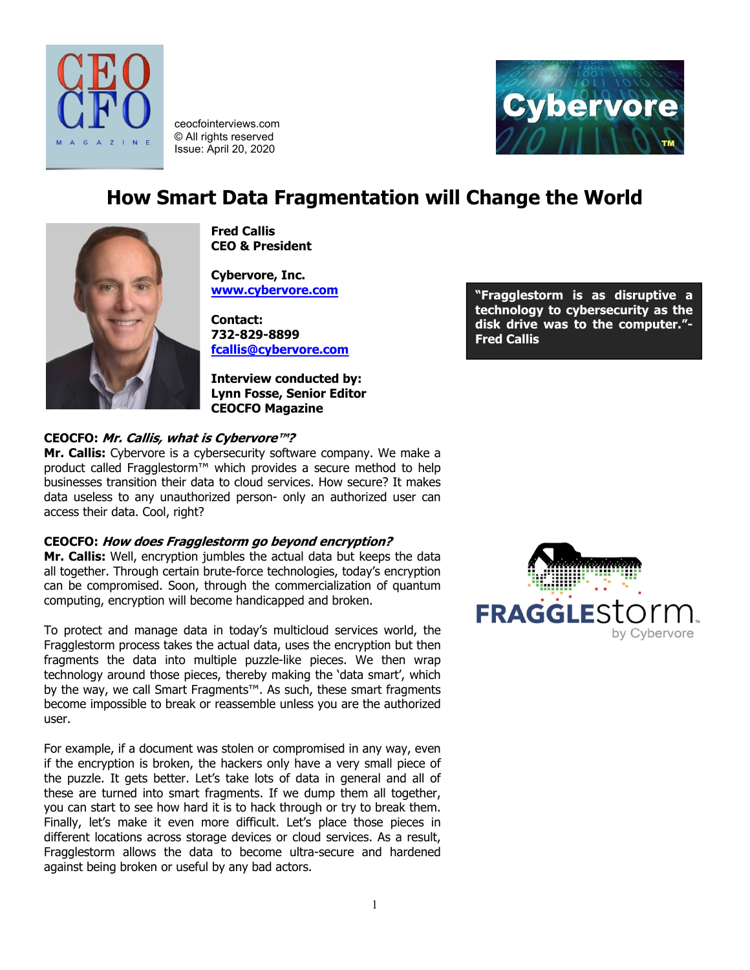



ceocfointerviews.com © All rights reserved Issue: April 20, 2020

# **How Smart Data Fragmentation will Change the World**



**Fred Callis CEO & President**

**Cybervore, Inc. [www.cybervore.com](http://www.cybervore.com/)**

**Contact: 732-829-8899 [fcallis@cybervore.com](mailto:fcallis@cybervore.com)**

**Interview conducted by: Lynn Fosse, Senior Editor CEOCFO Magazine**

# **CEOCFO: Mr. Callis, what is Cybervore™?**

**Mr. Callis:** Cybervore is a cybersecurity software company. We make a product called Fragglestorm™ which provides a secure method to help businesses transition their data to cloud services. How secure? It makes data useless to any unauthorized person- only an authorized user can access their data. Cool, right?

# **CEOCFO: How does Fragglestorm go beyond encryption?**

**Mr. Callis:** Well, encryption jumbles the actual data but keeps the data all together. Through certain brute-force technologies, today's encryption can be compromised. Soon, through the commercialization of quantum computing, encryption will become handicapped and broken.

To protect and manage data in today's multicloud services world, the Fragglestorm process takes the actual data, uses the encryption but then fragments the data into multiple puzzle-like pieces. We then wrap technology around those pieces, thereby making the 'data smart', which by the way, we call Smart Fragments™. As such, these smart fragments become impossible to break or reassemble unless you are the authorized user.

For example, if a document was stolen or compromised in any way, even if the encryption is broken, the hackers only have a very small piece of the puzzle. It gets better. Let's take lots of data in general and all of these are turned into smart fragments. If we dump them all together, you can start to see how hard it is to hack through or try to break them. Finally, let's make it even more difficult. Let's place those pieces in different locations across storage devices or cloud services. As a result, Fragglestorm allows the data to become ultra-secure and hardened against being broken or useful by any bad actors.

**"Fragglestorm is as disruptive a technology to cybersecurity as the disk drive was to the computer."- Fred Callis**

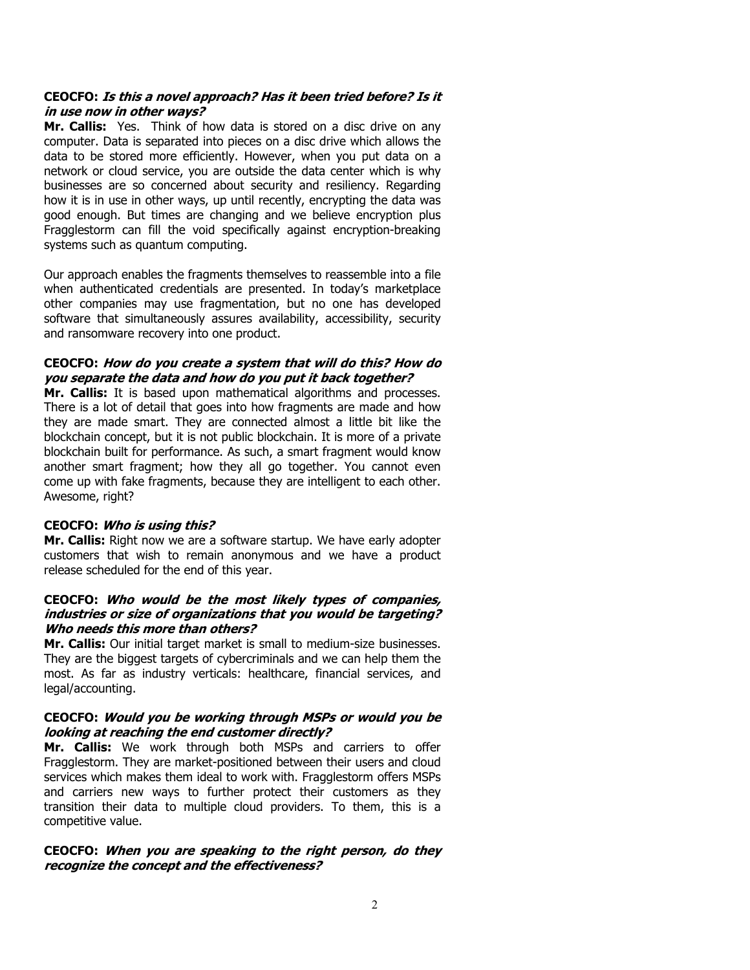## **CEOCFO: Is this a novel approach? Has it been tried before? Is it in use now in other ways?**

**Mr. Callis:** Yes. Think of how data is stored on a disc drive on any computer. Data is separated into pieces on a disc drive which allows the data to be stored more efficiently. However, when you put data on a network or cloud service, you are outside the data center which is why businesses are so concerned about security and resiliency. Regarding how it is in use in other ways, up until recently, encrypting the data was good enough. But times are changing and we believe encryption plus Fragglestorm can fill the void specifically against encryption-breaking systems such as quantum computing.

Our approach enables the fragments themselves to reassemble into a file when authenticated credentials are presented. In today's marketplace other companies may use fragmentation, but no one has developed software that simultaneously assures availability, accessibility, security and ransomware recovery into one product.

# **CEOCFO: How do you create a system that will do this? How do you separate the data and how do you put it back together?**

**Mr. Callis:** It is based upon mathematical algorithms and processes. There is a lot of detail that goes into how fragments are made and how they are made smart. They are connected almost a little bit like the blockchain concept, but it is not public blockchain. It is more of a private blockchain built for performance. As such, a smart fragment would know another smart fragment; how they all go together. You cannot even come up with fake fragments, because they are intelligent to each other. Awesome, right?

# **CEOCFO: Who is using this?**

**Mr. Callis:** Right now we are a software startup. We have early adopter customers that wish to remain anonymous and we have a product release scheduled for the end of this year.

#### **CEOCFO: Who would be the most likely types of companies, industries or size of organizations that you would be targeting? Who needs this more than others?**

**Mr. Callis:** Our initial target market is small to medium-size businesses. They are the biggest targets of cybercriminals and we can help them the most. As far as industry verticals: healthcare, financial services, and legal/accounting.

# **CEOCFO: Would you be working through MSPs or would you be looking at reaching the end customer directly?**

**Mr. Callis:** We work through both MSPs and carriers to offer Fragglestorm. They are market-positioned between their users and cloud services which makes them ideal to work with. Fragglestorm offers MSPs and carriers new ways to further protect their customers as they transition their data to multiple cloud providers. To them, this is a competitive value.

# **CEOCFO: When you are speaking to the right person, do they recognize the concept and the effectiveness?**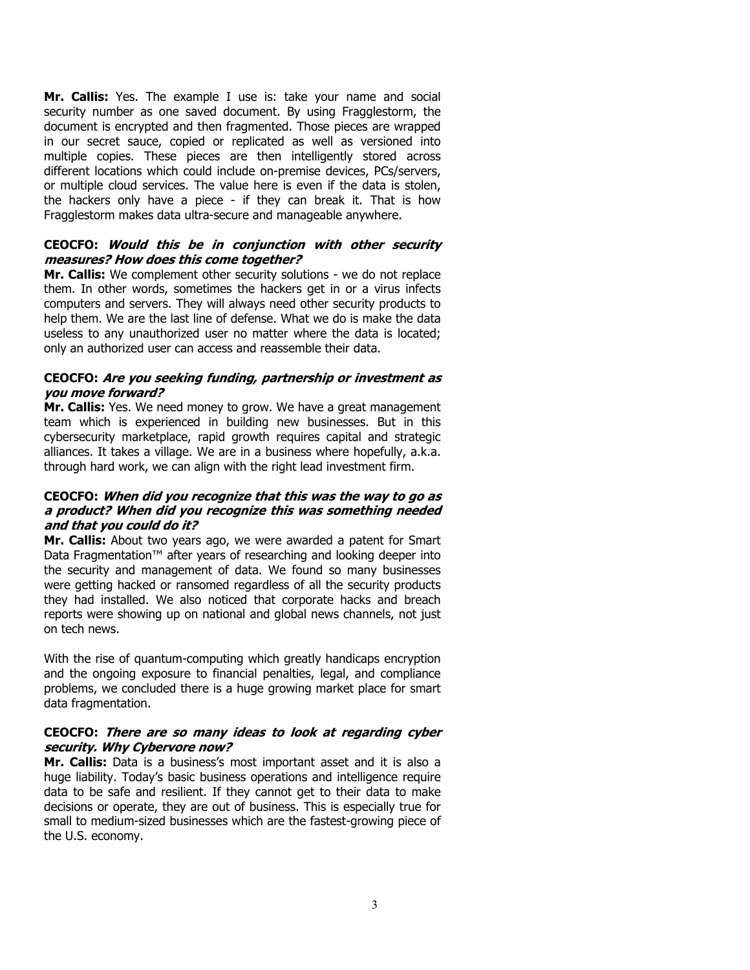**Mr. Callis:** Yes. The example I use is: take your name and social security number as one saved document. By using Fragglestorm, the document is encrypted and then fragmented. Those pieces are wrapped in our secret sauce, copied or replicated as well as versioned into multiple copies. These pieces are then intelligently stored across different locations which could include on-premise devices, PCs/servers, or multiple cloud services. The value here is even if the data is stolen, the hackers only have a piece - if they can break it. That is how Fragglestorm makes data ultra-secure and manageable anywhere.

#### **CEOCFO: Would this be in conjunction with other security measures? How does this come together?**

**Mr. Callis:** We complement other security solutions - we do not replace them. In other words, sometimes the hackers get in or a virus infects computers and servers. They will always need other security products to help them. We are the last line of defense. What we do is make the data useless to any unauthorized user no matter where the data is located; only an authorized user can access and reassemble their data.

## **CEOCFO: Are you seeking funding, partnership or investment as you move forward?**

**Mr. Callis:** Yes. We need money to grow. We have a great management team which is experienced in building new businesses. But in this cybersecurity marketplace, rapid growth requires capital and strategic alliances. It takes a village. We are in a business where hopefully, a.k.a. through hard work, we can align with the right lead investment firm.

## **CEOCFO: When did you recognize that this was the way to go as a product? When did you recognize this was something needed and that you could do it?**

**Mr. Callis:** About two years ago, we were awarded a patent for Smart Data Fragmentation™ after years of researching and looking deeper into the security and management of data. We found so many businesses were getting hacked or ransomed regardless of all the security products they had installed. We also noticed that corporate hacks and breach reports were showing up on national and global news channels, not just on tech news.

With the rise of quantum-computing which greatly handicaps encryption and the ongoing exposure to financial penalties, legal, and compliance problems, we concluded there is a huge growing market place for smart data fragmentation.

# **CEOCFO: There are so many ideas to look at regarding cyber security. Why Cybervore now?**

**Mr. Callis:** Data is a business's most important asset and it is also a huge liability. Today's basic business operations and intelligence require data to be safe and resilient. If they cannot get to their data to make decisions or operate, they are out of business. This is especially true for small to medium-sized businesses which are the fastest-growing piece of the U.S. economy.